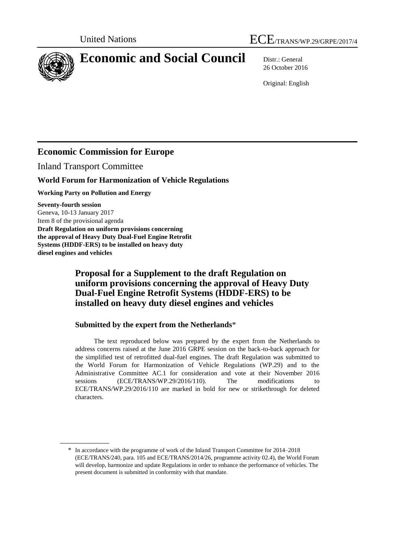

# **Economic and Social Council** Distr.: General

26 October 2016

Original: English

# **Economic Commission for Europe**

Inland Transport Committee

## **World Forum for Harmonization of Vehicle Regulations**

**Working Party on Pollution and Energy** 

**Seventy-fourth session** Geneva, 10-13 January 2017 Item 8 of the provisional agenda **Draft Regulation on uniform provisions concerning the approval of Heavy Duty Dual-Fuel Engine Retrofit Systems (HDDF-ERS) to be installed on heavy duty diesel engines and vehicles**

## **Proposal for a Supplement to the draft Regulation on uniform provisions concerning the approval of Heavy Duty Dual-Fuel Engine Retrofit Systems (HDDF-ERS) to be installed on heavy duty diesel engines and vehicles**

### **Submitted by the expert from the Netherlands**\*

The text reproduced below was prepared by the expert from the Netherlands to address concerns raised at the June 2016 GRPE session on the back-to-back approach for the simplified test of retrofitted dual-fuel engines. The draft Regulation was submitted to the World Forum for Harmonization of Vehicle Regulations (WP.29) and to the Administrative Committee AC.1 for consideration and vote at their November 2016 sessions (ECE/TRANS/WP.29/2016/110). The modifications to ECE/TRANS/WP.29/2016/110 are marked in bold for new or strikethrough for deleted characters.

<sup>\*</sup> In accordance with the programme of work of the Inland Transport Committee for 2014–2018 (ECE/TRANS/240, para. 105 and ECE/TRANS/2014/26, programme activity 02.4), the World Forum will develop, harmonize and update Regulations in order to enhance the performance of vehicles. The present document is submitted in conformity with that mandate.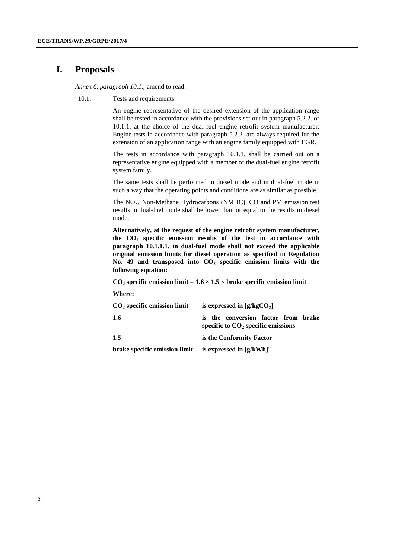## **I. Proposals**

*Annex 6, paragraph 10.1.,* amend to read:

"10.1. Tests and requirements

An engine representative of the desired extension of the application range shall be tested in accordance with the provisions set out in paragraph 5.2.2. or 10.1.1. at the choice of the dual-fuel engine retrofit system manufacturer. Engine tests in accordance with paragraph 5.2.2. are always required for the extension of an application range with an engine family equipped with EGR.

The tests in accordance with paragraph 10.1.1. shall be carried out on a representative engine equipped with a member of the dual-fuel engine retrofit system family.

The same tests shall be performed in diesel mode and in dual-fuel mode in such a way that the operating points and conditions are as similar as possible.

The  $NO<sub>X</sub>$ , Non-Methane Hydrocarbons (NMHC), CO and PM emission test results in dual-fuel mode shall be lower than or equal to the results in diesel mode.

**Alternatively, at the request of the engine retrofit system manufacturer, the CO<sup>2</sup> specific emission results of the test in accordance with paragraph 10.1.1.1. in dual-fuel mode shall not exceed the applicable original emission limits for diesel operation as specified in Regulation No. 49 and transposed into CO<sup>2</sup> specific emission limits with the following equation:**

 $CO<sub>2</sub>$  **specific emission limit =**  $1.6 \times 1.5 \times$  **brake specific emission limit** 

**Where:**

| $CO2$ specific emission limit | is expressed in $[g/kgCO_2]$                                                |
|-------------------------------|-----------------------------------------------------------------------------|
| 1.6                           | is the conversion factor from brake<br>specific to $CO2$ specific emissions |
| 1.5                           | is the Conformity Factor                                                    |
| brake specific emission limit | is expressed in $[g/kWh]$ "                                                 |